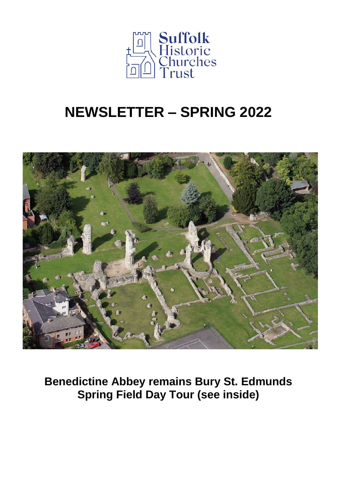

# **NEWSLETTER – SPRING 2022**



**Benedictine Abbey remains Bury St. Edmunds Spring Field Day Tour (see inside)**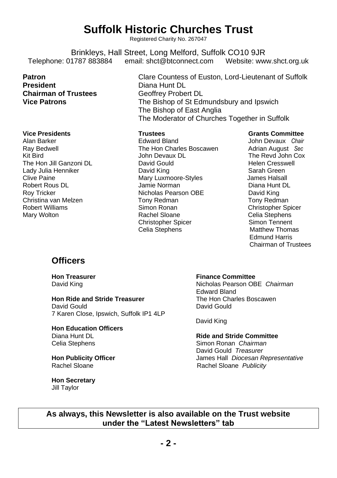## **Suffolk Historic Churches Trust**

Registered Charity No. 267047

Brinkleys, Hall Street, Long Melford, Suffolk CO10 9JR<br>1787 883884 email: shct@btconnect.com Website: ww Telephone: 01787 883884 email: shct@btconnect.com Website: www.shct.org.uk

**Chairman of Trustees** Geoffrey Probert DL<br>Vice Patrons **CO** The Bishop of St Edu

Christina van Melzen Tony Redman Tony Redman

**Patron Clare Countess of Euston, Lord-Lieutenant of Suffolk President** Diana Hunt DL **Vice Patrons** The Bishop of St Edmundsbury and Ipswich The Bishop of East Anglia The Moderator of Churches Together in Suffolk

**Vice Presidents Trustees Grants Committee** Alan Barker Edward Bland John Devaux *Chair*  Ray Bedwell **Ray Bedwell** The Hon Charles Boscawen Adrian August *Sec*<br>
Kit Bird The Revd John Cox Vohn Devaux DL<br>
David Gould David Could Bird Helen Cresswell The Hon Jill Ganzoni DL David Gould Helen Cresswell Lady Julia Henniker **David King Sarah Green**<br>Clive Paine **David King Stripe Stries Stripe Stripe Stripe Stripe Stripe Stripe Stripe Stripe Stripe Stripe Str** Mary Luxmoore-Styles Robert Rous DL Jamie Norman Diana Hunt DL Nicholas Pearson OBE David King<br>Tony Redman<br>Tony Redman Robert Williams **Simon Ronan Christopher Spicer** Christopher Spicer<br>
Mary Wolton **State Celia** Stephens **Celia** Stephens **Christopher Spicer School Simon Tennent<br>Celia Stephens School School Matthew Thomas Celia Stephens** 

Celia Stephens<br>Simon Tennent Edmund Harris Chairman of Trustees

### **Officers**

**Hon Ride and Stride Treasurer** David Gould David Gould

7 Karen Close, Ipswich, Suffolk IP1 4LP

# **Hon Education Officers**

**Hon Secretary** Jill Taylor

### **Hon Treasurer Finance Committee**

David King Nicholas Pearson OBE Chairman Edward Bland<br>The Hon Charles Boscawen

David King

Diana Hunt DL **Ride and Stride Committee** Celia Stephens Simon Ronan *Chairman* David Gould *Treasurer* **Hon Publicity Officer** James Hall *Diocesan Representative* Rachel Sloane Rachel Sloane *Publicity*

**As always, this Newsletter is also available on the Trust website under the "Latest Newsletters" tab**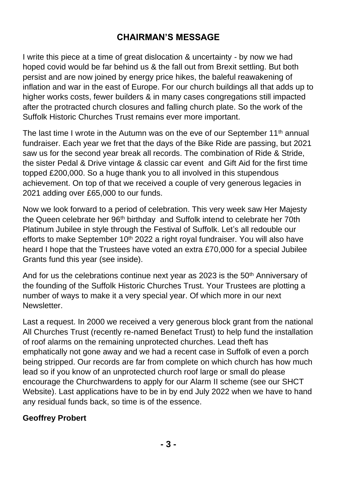### **CHAIRMAN'S MESSAGE**

I write this piece at a time of great dislocation & uncertainty - by now we had hoped covid would be far behind us & the fall out from Brexit settling. But both persist and are now joined by energy price hikes, the baleful reawakening of inflation and war in the east of Europe. For our church buildings all that adds up to higher works costs, fewer builders & in many cases congregations still impacted after the protracted church closures and falling church plate. So the work of the Suffolk Historic Churches Trust remains ever more important.

The last time I wrote in the Autumn was on the eve of our September  $11<sup>th</sup>$  annual fundraiser. Each year we fret that the days of the Bike Ride are passing, but 2021 saw us for the second year break all records. The combination of Ride & Stride, the sister Pedal & Drive vintage & classic car event and Gift Aid for the first time topped £200,000. So a huge thank you to all involved in this stupendous achievement. On top of that we received a couple of very generous legacies in 2021 adding over £65,000 to our funds.

Now we look forward to a period of celebration. This very week saw Her Majesty the Queen celebrate her 96<sup>th</sup> birthday and Suffolk intend to celebrate her 70th Platinum Jubilee in style through the Festival of Suffolk. Let's all redouble our efforts to make September  $10<sup>th</sup>$  2022 a right royal fundraiser. You will also have heard I hope that the Trustees have voted an extra £70,000 for a special Jubilee Grants fund this year (see inside).

And for us the celebrations continue next year as 2023 is the 50th Anniversary of the founding of the Suffolk Historic Churches Trust. Your Trustees are plotting a number of ways to make it a very special year. Of which more in our next **Newsletter** 

Last a request. In 2000 we received a very generous block grant from the national All Churches Trust (recently re-named Benefact Trust) to help fund the installation of roof alarms on the remaining unprotected churches. Lead theft has emphatically not gone away and we had a recent case in Suffolk of even a porch being stripped. Our records are far from complete on which church has how much lead so if you know of an unprotected church roof large or small do please encourage the Churchwardens to apply for our Alarm II scheme (see our SHCT Website). Last applications have to be in by end July 2022 when we have to hand any residual funds back, so time is of the essence.

### **Geoffrey Probert**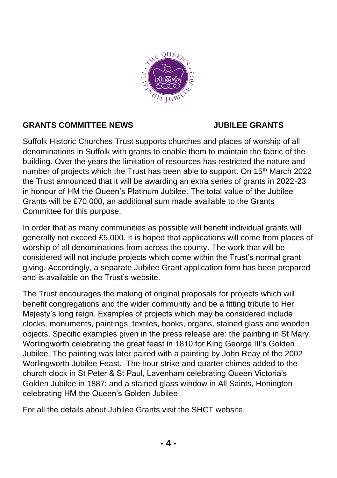

### **GRANTS COMMITTEE NEWS JUBILEE GRANTS**

Suffolk Historic Churches Trust supports churches and places of worship of all denominations in Suffolk with grants to enable them to maintain the fabric of the building. Over the years the limitation of resources has restricted the nature and number of projects which the Trust has been able to support. On 15th March 2022 the Trust announced that it will be awarding an extra series of grants in 2022-23 in honour of HM the Queen's Platinum Jubilee. The total value of the Jubilee Grants will be £70,000, an additional sum made available to the Grants Committee for this purpose.

In order that as many communities as possible will benefit individual grants will generally not exceed £5,000. It is hoped that applications will come from places of worship of all denominations from across the county. The work that will be considered will not include projects which come within the Trust's normal grant giving. Accordingly, a separate Jubilee Grant application form has been prepared and is available on the Trust's website.

The Trust encourages the making of original proposals for projects which will benefit congregations and the wider community and be a fitting tribute to Her Majesty's long reign. Examples of projects which may be considered include clocks, monuments, paintings, textiles, books, organs, stained glass and wooden objects. Specific examples given in the press release are: the painting in St Mary, Worlingworth celebrating the great feast in 1810 for King George III's Golden Jubilee. The painting was later paired with a painting by John Reay of the 2002 Worlingworth Jubilee Feast. The hour strike and quarter chimes added to the church clock in St Peter & St Paul, Lavenham celebrating Queen Victoria's Golden Jubilee in 1887; and a stained glass window in All Saints, Honington celebrating HM the Queen's Golden Jubilee.

For all the details about Jubilee Grants visit the SHCT website.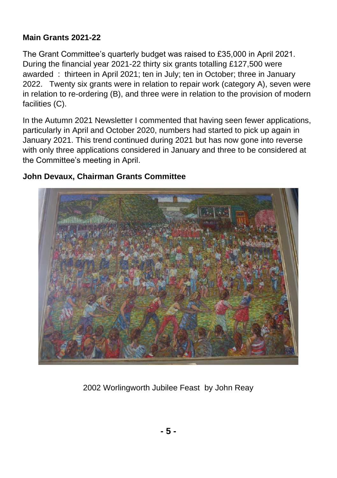### **Main Grants 2021-22**

The Grant Committee's quarterly budget was raised to £35,000 in April 2021. During the financial year 2021-22 thirty six grants totalling £127,500 were awarded : thirteen in April 2021; ten in July; ten in October; three in January 2022. Twenty six grants were in relation to repair work (category A), seven were in relation to re-ordering (B), and three were in relation to the provision of modern facilities (C).

In the Autumn 2021 Newsletter I commented that having seen fewer applications, particularly in April and October 2020, numbers had started to pick up again in January 2021. This trend continued during 2021 but has now gone into reverse with only three applications considered in January and three to be considered at the Committee's meeting in April.

### **John Devaux, Chairman Grants Committee**



2002 Worlingworth Jubilee Feast by John Reay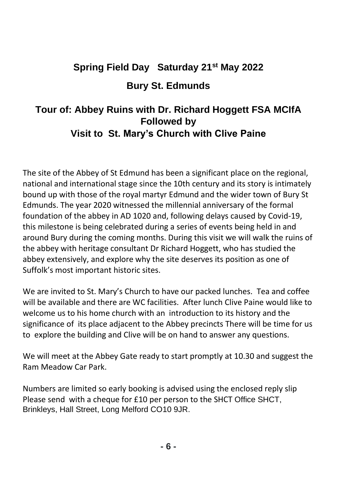# **Spring Field Day Saturday 21st May 2022 Bury St. Edmunds**

### **Tour of: Abbey Ruins with Dr. Richard Hoggett FSA MCIfA Followed by Visit to St. Mary's Church with Clive Paine**

The site of the Abbey of St Edmund has been a significant place on the regional, national and international stage since the 10th century and its story is intimately bound up with those of the royal martyr Edmund and the wider town of Bury St Edmunds. The year 2020 witnessed the millennial anniversary of the formal foundation of the abbey in AD 1020 and, following delays caused by Covid-19, this milestone is being celebrated during a series of events being held in and around Bury during the coming months. During this visit we will walk the ruins of the abbey with heritage consultant Dr Richard Hoggett, who has studied the abbey extensively, and explore why the site deserves its position as one of Suffolk's most important historic sites.

We are invited to St. Mary's Church to have our packed lunches. Tea and coffee will be available and there are WC facilities. After lunch Clive Paine would like to welcome us to his home church with an introduction to its history and the significance of its place adjacent to the Abbey precincts There will be time for us to explore the building and Clive will be on hand to answer any questions.

We will meet at the Abbey Gate ready to start promptly at 10.30 and suggest the Ram Meadow Car Park.

Numbers are limited so early booking is advised using the enclosed reply slip Please send with a cheque for £10 per person to the SHCT Office SHCT, Brinkleys, Hall Street, Long Melford CO10 9JR.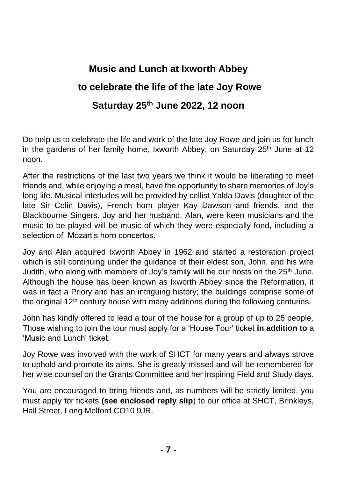# **Music and Lunch at Ixworth Abbey to celebrate the life of the late Joy Rowe Saturday 25th June 2022, 12 noon**

Do help us to celebrate the life and work of the late Joy Rowe and join us for lunch in the gardens of her family home, Ixworth Abbey, on Saturday  $25<sup>th</sup>$  June at 12 noon.

After the restrictions of the last two years we think it would be liberating to meet friends and, while enjoying a meal, have the opportunity to share memories of Joy's long life. Musical interludes will be provided by cellist Yalda Davis (daughter of the late Sir Colin Davis), French horn player Kay Dawson and friends, and the Blackbourne Singers. Joy and her husband, Alan, were keen musicians and the music to be played will be music of which they were especially fond, including a selection of Mozart's horn concertos.

Joy and Alan acquired Ixworth Abbey in 1962 and started a restoration project which is still continuing under the guidance of their eldest son, John, and his wife Judith, who along with members of Joy's family will be our hosts on the  $25<sup>th</sup>$  June. Although the house has been known as Ixworth Abbey since the Reformation, it was in fact a Priory and has an intriguing history; the buildings comprise some of the original 12<sup>th</sup> century house with many additions during the following centuries.

John has kindly offered to lead a tour of the house for a group of up to 25 people. Those wishing to join the tour must apply for a 'House Tour' ticket **in addition to** a 'Music and Lunch' ticket.

Joy Rowe was involved with the work of SHCT for many years and always strove to uphold and promote its aims. She is greatly missed and will be remembered for her wise counsel on the Grants Committee and her inspiring Field and Study days.

You are encouraged to bring friends and, as numbers will be strictly limited, you must apply for tickets **(see enclosed reply slip**) to our office at SHCT, Brinkleys, Hall Street, Long Melford CO10 9JR.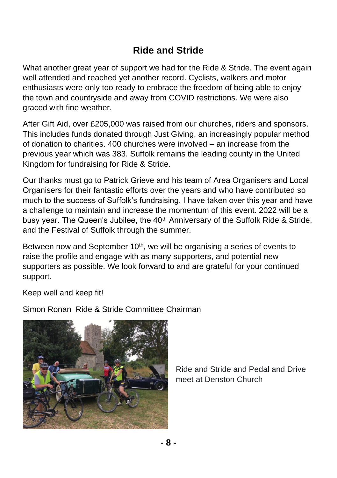### **Ride and Stride**

What another great year of support we had for the Ride & Stride. The event again well attended and reached yet another record. Cyclists, walkers and motor enthusiasts were only too ready to embrace the freedom of being able to enjoy the town and countryside and away from COVID restrictions. We were also graced with fine weather.

After Gift Aid, over £205,000 was raised from our churches, riders and sponsors. This includes funds donated through Just Giving, an increasingly popular method of donation to charities. 400 churches were involved – an increase from the previous year which was 383. Suffolk remains the leading county in the United Kingdom for fundraising for Ride & Stride.

Our thanks must go to Patrick Grieve and his team of Area Organisers and Local Organisers for their fantastic efforts over the years and who have contributed so much to the success of Suffolk's fundraising. I have taken over this year and have a challenge to maintain and increase the momentum of this event. 2022 will be a busy year. The Queen's Jubilee, the  $40<sup>th</sup>$  Anniversary of the Suffolk Ride & Stride, and the Festival of Suffolk through the summer.

Between now and September 10<sup>th</sup>, we will be organising a series of events to raise the profile and engage with as many supporters, and potential new supporters as possible. We look forward to and are grateful for your continued support.

Keep well and keep fit!

Simon Ronan Ride & Stride Committee Chairman



Ride and Stride and Pedal and Drive meet at Denston Church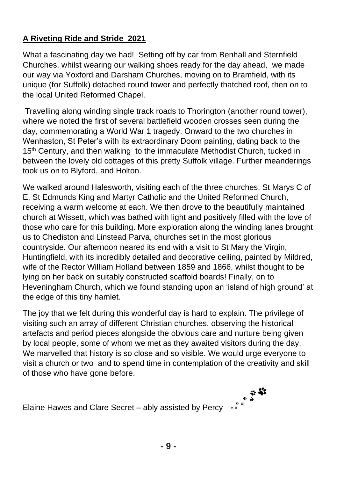### **A Riveting Ride and Stride 2021**

What a fascinating day we had! Setting off by car from Benhall and Sternfield Churches, whilst wearing our walking shoes ready for the day ahead, we made our way via Yoxford and Darsham Churches, moving on to Bramfield, with its unique (for Suffolk) detached round tower and perfectly thatched roof, then on to the local United Reformed Chapel.

Travelling along winding single track roads to Thorington (another round tower), where we noted the first of several battlefield wooden crosses seen during the day, commemorating a World War 1 tragedy. Onward to the two churches in Wenhaston, St Peter's with its extraordinary Doom painting, dating back to the 15<sup>th</sup> Century, and then walking to the immaculate Methodist Church, tucked in between the lovely old cottages of this pretty Suffolk village. Further meanderings took us on to Blyford, and Holton.

We walked around Halesworth, visiting each of the three churches, St Marys C of E, St Edmunds King and Martyr Catholic and the United Reformed Church, receiving a warm welcome at each. We then drove to the beautifully maintained church at Wissett, which was bathed with light and positively filled with the love of those who care for this building. More exploration along the winding lanes brought us to Chediston and Linstead Parva, churches set in the most glorious countryside. Our afternoon neared its end with a visit to St Mary the Virgin, Huntingfield, with its incredibly detailed and decorative ceiling, painted by Mildred, wife of the Rector William Holland between 1859 and 1866, whilst thought to be lying on her back on suitably constructed scaffold boards! Finally, on to Heveningham Church, which we found standing upon an 'island of high ground' at the edge of this tiny hamlet.

The joy that we felt during this wonderful day is hard to explain. The privilege of visiting such an array of different Christian churches, observing the historical artefacts and period pieces alongside the obvious care and nurture being given by local people, some of whom we met as they awaited visitors during the day, We marvelled that history is so close and so visible. We would urge everyone to visit a church or two and to spend time in contemplation of the creativity and skill of those who have gone before.

نه به<br>Elaine Hawes and Clare Secret – ably assisted by Percy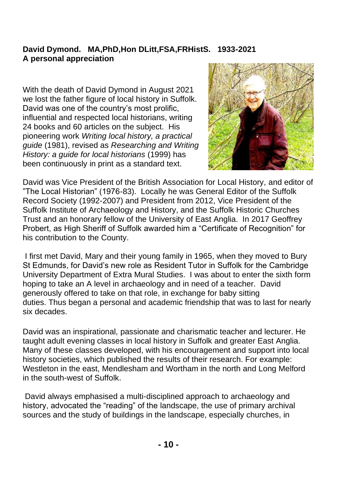### **David Dymond. MA,PhD,Hon DLitt,FSA,FRHistS. 1933-2021 A personal appreciation**

With the death of David Dymond in August 2021 we lost the father figure of local history in Suffolk. David was one of the country's most prolific, influential and respected local historians, writing 24 books and 60 articles on the subject. His pioneering work *Writing local history, a practical guide* (1981), revised as *Researching and Writing History: a guide for local historians* (1999) has been continuously in print as a standard text.



David was Vice President of the British Association for Local History, and editor of "The Local Historian" (1976-83). Locally he was General Editor of the Suffolk Record Society (1992-2007) and President from 2012, Vice President of the Suffolk Institute of Archaeology and History, and the Suffolk Historic Churches Trust and an honorary fellow of the University of East Anglia. In 2017 Geoffrey Probert, as High Sheriff of Suffolk awarded him a "Certificate of Recognition" for his contribution to the County.

I first met David, Mary and their young family in 1965, when they moved to Bury St Edmunds, for David's new role as Resident Tutor in Suffolk for the Cambridge University Department of Extra Mural Studies. I was about to enter the sixth form hoping to take an A level in archaeology and in need of a teacher. David generously offered to take on that role, in exchange for baby sitting duties. Thus began a personal and academic friendship that was to last for nearly six decades.

David was an inspirational, passionate and charismatic teacher and lecturer. He taught adult evening classes in local history in Suffolk and greater East Anglia. Many of these classes developed, with his encouragement and support into local history societies, which published the results of their research. For example: Westleton in the east, Mendlesham and Wortham in the north and Long Melford in the south-west of Suffolk.

David always emphasised a multi-disciplined approach to archaeology and history, advocated the "reading" of the landscape, the use of primary archival sources and the study of buildings in the landscape, especially churches, in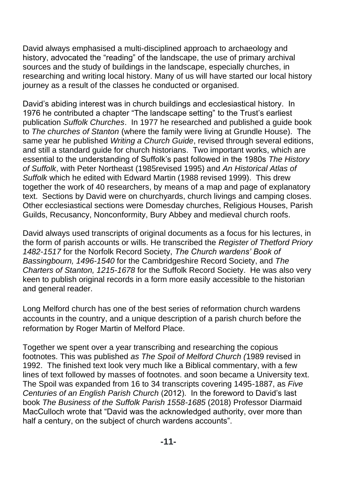David always emphasised a multi-disciplined approach to archaeology and history, advocated the "reading" of the landscape, the use of primary archival sources and the study of buildings in the landscape, especially churches, in researching and writing local history. Many of us will have started our local history journey as a result of the classes he conducted or organised.

David's abiding interest was in church buildings and ecclesiastical history. In 1976 he contributed a chapter "The landscape setting" to the Trust's earliest publication *Suffolk Churches*. In 1977 he researched and published a guide book to *The churches of Stanton* (where the family were living at Grundle House). The same year he published *Writing a Church Guide*, revised through several editions, and still a standard guide for church historians. Two important works, which are essential to the understanding of Suffolk's past followed in the 1980s *The History of Suffolk*, with Peter Northeast (1985revised 1995) and *An Historical Atlas of Suffolk* which he edited with Edward Martin (1988 revised 1999). This drew together the work of 40 researchers, by means of a map and page of explanatory text. Sections by David were on churchyards, church livings and camping closes. Other ecclesiastical sections were Domesday churches, Religious Houses, Parish Guilds, Recusancy, Nonconformity, Bury Abbey and medieval church roofs.

David always used transcripts of original documents as a focus for his lectures, in the form of parish accounts or wills. He transcribed the *Register of Thetford Priory 1482-1517* for the Norfolk Record Society, *The Church wardens' Book of Bassingbourn, 1496-1540* for the Cambridgeshire Record Society, and *The Charters of Stanton, 1215-1678* for the Suffolk Record Society. He was also very keen to publish original records in a form more easily accessible to the historian and general reader.

Long Melford church has one of the best series of reformation church wardens accounts in the country, and a unique description of a parish church before the reformation by Roger Martin of Melford Place.

Together we spent over a year transcribing and researching the copious footnotes. This was published *as The Spoil of Melford Church (*1989 revised in 1992. The finished text look very much like a Biblical commentary, with a few lines of text followed by masses of footnotes. and soon became a University text. The Spoil was expanded from 16 to 34 transcripts covering 1495-1887, as *Five Centuries of an English Parish Church* (2012). In the foreword to David's last book *The Business of the Suffolk Parish 1558-1685* (2018) Professor Diarmaid MacCulloch wrote that "David was the acknowledged authority, over more than half a century, on the subject of church wardens accounts".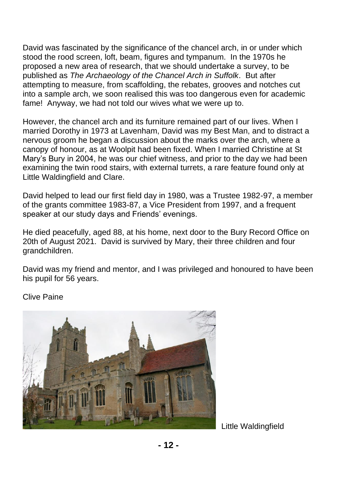David was fascinated by the significance of the chancel arch, in or under which stood the rood screen, loft, beam, figures and tympanum. In the 1970s he proposed a new area of research, that we should undertake a survey, to be published as *The Archaeology of the Chancel Arch in Suffolk*. But after attempting to measure, from scaffolding, the rebates, grooves and notches cut into a sample arch, we soon realised this was too dangerous even for academic fame! Anyway, we had not told our wives what we were up to.

However, the chancel arch and its furniture remained part of our lives. When I married Dorothy in 1973 at Lavenham, David was my Best Man, and to distract a nervous groom he began a discussion about the marks over the arch, where a canopy of honour, as at Woolpit had been fixed. When I married Christine at St Mary's Bury in 2004, he was our chief witness, and prior to the day we had been examining the twin rood stairs, with external turrets, a rare feature found only at Little Waldingfield and Clare.

David helped to lead our first field day in 1980, was a Trustee 1982-97, a member of the grants committee 1983-87, a Vice President from 1997, and a frequent speaker at our study days and Friends' evenings.

He died peacefully, aged 88, at his home, next door to the Bury Record Office on 20th of August 2021. David is survived by Mary, their three children and four grandchildren.

David was my friend and mentor, and I was privileged and honoured to have been his pupil for 56 years.

Clive Paine



Little Waldingfield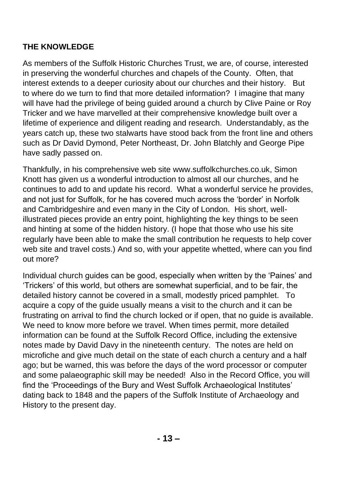### **THE KNOWLEDGE**

As members of the Suffolk Historic Churches Trust, we are, of course, interested in preserving the wonderful churches and chapels of the County. Often, that interest extends to a deeper curiosity about our churches and their history. But to where do we turn to find that more detailed information? I imagine that many will have had the privilege of being guided around a church by Clive Paine or Roy Tricker and we have marvelled at their comprehensive knowledge built over a lifetime of experience and diligent reading and research. Understandably, as the years catch up, these two stalwarts have stood back from the front line and others such as Dr David Dymond, Peter Northeast, Dr. John Blatchly and George Pipe have sadly passed on.

Thankfully, in his comprehensive web site [www.suffolkchurches.co.uk,](http://www.suffolkchurches.co.uk/) Simon Knott has given us a wonderful introduction to almost all our churches, and he continues to add to and update his record. What a wonderful service he provides, and not just for Suffolk, for he has covered much across the 'border' in Norfolk and Cambridgeshire and even many in the City of London. His short, wellillustrated pieces provide an entry point, highlighting the key things to be seen and hinting at some of the hidden history. (I hope that those who use his site regularly have been able to make the small contribution he requests to help cover web site and travel costs.) And so, with your appetite whetted, where can you find out more?

Individual church guides can be good, especially when written by the 'Paines' and 'Trickers' of this world, but others are somewhat superficial, and to be fair, the detailed history cannot be covered in a small, modestly priced pamphlet. To acquire a copy of the guide usually means a visit to the church and it can be frustrating on arrival to find the church locked or if open, that no guide is available. We need to know more before we travel. When times permit, more detailed information can be found at the Suffolk Record Office, including the extensive notes made by David Davy in the nineteenth century. The notes are held on microfiche and give much detail on the state of each church a century and a half ago; but be warned, this was before the days of the word processor or computer and some palaeographic skill may be needed! Also in the Record Office, you will find the 'Proceedings of the Bury and West Suffolk Archaeological Institutes' dating back to 1848 and the papers of the Suffolk Institute of Archaeology and History to the present day.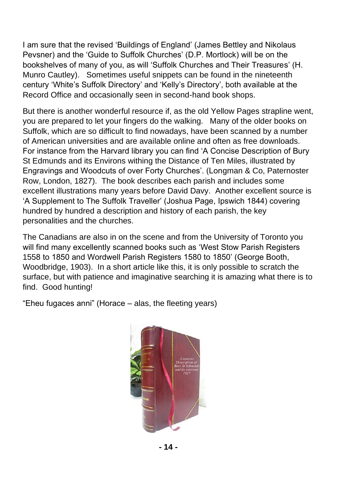I am sure that the revised 'Buildings of England' (James Bettley and Nikolaus Pevsner) and the 'Guide to Suffolk Churches' (D.P. Mortlock) will be on the bookshelves of many of you, as will 'Suffolk Churches and Their Treasures' (H. Munro Cautley). Sometimes useful snippets can be found in the nineteenth century 'White's Suffolk Directory' and 'Kelly's Directory', both available at the Record Office and occasionally seen in second-hand book shops.

But there is another wonderful resource if, as the old Yellow Pages strapline went, you are prepared to let your fingers do the walking. Many of the older books on Suffolk, which are so difficult to find nowadays, have been scanned by a number of American universities and are available online and often as free downloads. For instance from the Harvard library you can find 'A Concise Description of Bury St Edmunds and its Environs withing the Distance of Ten Miles, illustrated by Engravings and Woodcuts of over Forty Churches'. (Longman & Co, Paternoster Row, London, 1827). The book describes each parish and includes some excellent illustrations many years before David Davy. Another excellent source is 'A Supplement to The Suffolk Traveller' (Joshua Page, Ipswich 1844) covering hundred by hundred a description and history of each parish, the key personalities and the churches.

The Canadians are also in on the scene and from the University of Toronto you will find many excellently scanned books such as 'West Stow Parish Registers 1558 to 1850 and Wordwell Parish Registers 1580 to 1850' (George Booth, Woodbridge, 1903). In a short article like this, it is only possible to scratch the surface, but with patience and imaginative searching it is amazing what there is to find. Good hunting!

"Eheu fugaces anni" (Horace – alas, the fleeting years)

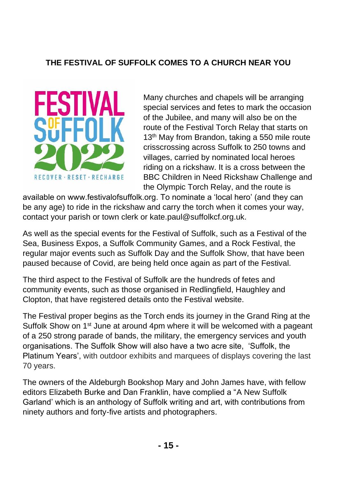### **THE FESTIVAL OF SUFFOLK COMES TO A CHURCH NEAR YOU**



Many churches and chapels will be arranging special services and fetes to mark the occasion of the Jubilee, and many will also be on the route of the Festival Torch Relay that starts on 13<sup>th</sup> May from Brandon, taking a 550 mile route crisscrossing across Suffolk to 250 towns and villages, carried by nominated local heroes riding on a rickshaw. It is a cross between the BBC Children in Need Rickshaw Challenge and the Olympic Torch Relay, and the route is

available on www.festivalofsuffolk.org. To nominate a 'local hero' (and they can be any age) to ride in the rickshaw and carry the torch when it comes your way, contact your parish or town clerk or kate.paul@suffolkcf.org.uk.

As well as the special events for the Festival of Suffolk, such as a Festival of the Sea, Business Expos, a Suffolk Community Games, and a Rock Festival, the regular major events such as Suffolk Day and the Suffolk Show, that have been paused because of Covid, are being held once again as part of the Festival.

The third aspect to the Festival of Suffolk are the hundreds of fetes and community events, such as those organised in Redlingfield, Haughley and Clopton, that have registered details onto the Festival website.

The Festival proper begins as the Torch ends its journey in the Grand Ring at the Suffolk Show on 1<sup>st</sup> June at around 4pm where it will be welcomed with a pageant of a 250 strong parade of bands, the military, the emergency services and youth organisations. The Suffolk Show will also have a two acre site, 'Suffolk, the Platinum Years', with outdoor exhibits and marquees of displays covering the last 70 years.

The owners of the Aldeburgh Bookshop Mary and John James have, with fellow editors Elizabeth Burke and Dan Franklin, have complied a "A New Suffolk Garland' which is an anthology of Suffolk writing and art, with contributions from ninety authors and forty-five artists and photographers.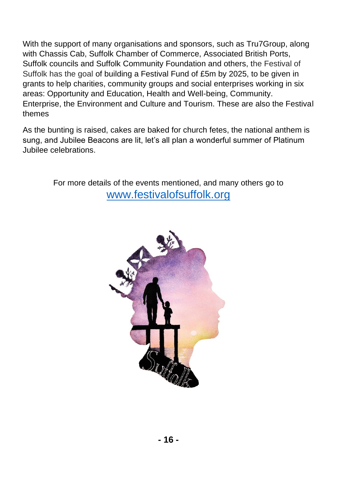With the support of many organisations and sponsors, such as Tru7Group, along with Chassis Cab, Suffolk Chamber of Commerce, Associated British Ports, Suffolk councils and Suffolk Community Foundation and others, the Festival of Suffolk has the goal of building a Festival Fund of £5m by 2025, to be given in grants to help charities, community groups and social enterprises working in six areas: Opportunity and Education, Health and Well-being, Community. Enterprise, the Environment and Culture and Tourism. These are also the Festival themes

As the bunting is raised, cakes are baked for church fetes, the national anthem is sung, and Jubilee Beacons are lit, let's all plan a wonderful summer of Platinum Jubilee celebrations.

> For more details of the events mentioned, and many others go to [www.festivalofsuffolk.org](http://www.festivalofsuffolk.org/)